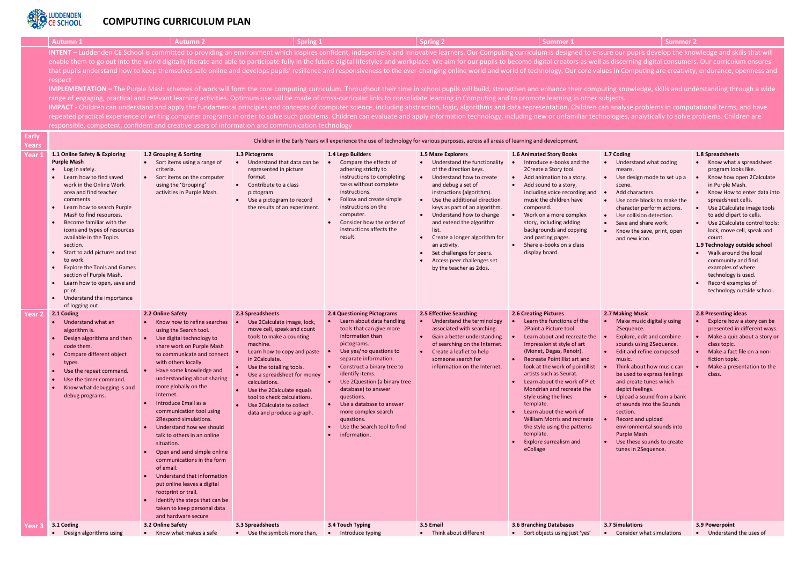

# **COMPUTING CURRICULUM PLAN**

|        | <b>Autumn 1</b>                                                                                                                                                                                                                                                                                                                                                                                                                                                                                                                                                                                                                                                                                                                                                                                                                                                                                                                                                                                                                                                                                                                                                                                                                                                                                                                                                                                                                                                                                                                                                                                                          | <b>Autumn 2</b>                                                                                                                                                                                                                                                                                                                                                                                                                                                                                                                                                                                                                                                                                        | Spring 1                                                                                                                                                                                                                                                                                                                                                                  |                                                                                                                                                                                                                                                                                                                                                                                                                         | <b>Spring 2</b>                                                                                                                                                                                                                                                                                                                                                                                                                                   | Summer 1                                                                                                                                                                                                                                                                                                                                                                                                                                                                                                                             | <b>Summer 2</b>                                                                                                                                                                                                                                                                                                                                                                                                                                                    |                                                                                                                                                                                                                                                                                                                                                                                                                                                                                                                         |
|--------|--------------------------------------------------------------------------------------------------------------------------------------------------------------------------------------------------------------------------------------------------------------------------------------------------------------------------------------------------------------------------------------------------------------------------------------------------------------------------------------------------------------------------------------------------------------------------------------------------------------------------------------------------------------------------------------------------------------------------------------------------------------------------------------------------------------------------------------------------------------------------------------------------------------------------------------------------------------------------------------------------------------------------------------------------------------------------------------------------------------------------------------------------------------------------------------------------------------------------------------------------------------------------------------------------------------------------------------------------------------------------------------------------------------------------------------------------------------------------------------------------------------------------------------------------------------------------------------------------------------------------|--------------------------------------------------------------------------------------------------------------------------------------------------------------------------------------------------------------------------------------------------------------------------------------------------------------------------------------------------------------------------------------------------------------------------------------------------------------------------------------------------------------------------------------------------------------------------------------------------------------------------------------------------------------------------------------------------------|---------------------------------------------------------------------------------------------------------------------------------------------------------------------------------------------------------------------------------------------------------------------------------------------------------------------------------------------------------------------------|-------------------------------------------------------------------------------------------------------------------------------------------------------------------------------------------------------------------------------------------------------------------------------------------------------------------------------------------------------------------------------------------------------------------------|---------------------------------------------------------------------------------------------------------------------------------------------------------------------------------------------------------------------------------------------------------------------------------------------------------------------------------------------------------------------------------------------------------------------------------------------------|--------------------------------------------------------------------------------------------------------------------------------------------------------------------------------------------------------------------------------------------------------------------------------------------------------------------------------------------------------------------------------------------------------------------------------------------------------------------------------------------------------------------------------------|--------------------------------------------------------------------------------------------------------------------------------------------------------------------------------------------------------------------------------------------------------------------------------------------------------------------------------------------------------------------------------------------------------------------------------------------------------------------|-------------------------------------------------------------------------------------------------------------------------------------------------------------------------------------------------------------------------------------------------------------------------------------------------------------------------------------------------------------------------------------------------------------------------------------------------------------------------------------------------------------------------|
|        | INTENT - Luddenden CE School is committed to providing an environment which inspires confident, independent and innovative learners. Our Computing curriculum is designed to ensure our pupils develop the knowledge and skill<br>enable them to go out into the world digitally literate and able to participate fully in the future digital lifestyles and workplace. We aim for our pupils to become digital creators as well as discerning digital consumers<br>that pupils understand how to keep themselves safe online and develops pupils' resilience and responsiveness to the ever-changing online world and world of technology. Our core values in Computing are creativity, endurance<br>respect.<br>IMPLEMENTATION - The Purple Mash schemes of work will form the core computing curriculum. Throughout their time in school pupils will build, strengthen and enhance their computing knowledge, skills and understanding throug<br>range of engaging, practical and relevant learning activities. Optimum use will be made of cross-curricular links to consolidate learning in Computing and to promote learning in other subjects.<br>IMPACT - Children can understand and apply the fundamental principles and concepts of computer science, including abstraction, logic, algorithms and data representation. Children can analyse problems in computational terms<br>repeated practical experience of writing computer programs in order to solve such problems. Children can evaluate and apply information technology, including new or unfamiliar technologies, analytically to solve problems. |                                                                                                                                                                                                                                                                                                                                                                                                                                                                                                                                                                                                                                                                                                        |                                                                                                                                                                                                                                                                                                                                                                           |                                                                                                                                                                                                                                                                                                                                                                                                                         |                                                                                                                                                                                                                                                                                                                                                                                                                                                   |                                                                                                                                                                                                                                                                                                                                                                                                                                                                                                                                      |                                                                                                                                                                                                                                                                                                                                                                                                                                                                    |                                                                                                                                                                                                                                                                                                                                                                                                                                                                                                                         |
| Early  | responsible, competent, confident and creative users of information and communication technology                                                                                                                                                                                                                                                                                                                                                                                                                                                                                                                                                                                                                                                                                                                                                                                                                                                                                                                                                                                                                                                                                                                                                                                                                                                                                                                                                                                                                                                                                                                         |                                                                                                                                                                                                                                                                                                                                                                                                                                                                                                                                                                                                                                                                                                        |                                                                                                                                                                                                                                                                                                                                                                           |                                                                                                                                                                                                                                                                                                                                                                                                                         |                                                                                                                                                                                                                                                                                                                                                                                                                                                   |                                                                                                                                                                                                                                                                                                                                                                                                                                                                                                                                      |                                                                                                                                                                                                                                                                                                                                                                                                                                                                    |                                                                                                                                                                                                                                                                                                                                                                                                                                                                                                                         |
| Years  |                                                                                                                                                                                                                                                                                                                                                                                                                                                                                                                                                                                                                                                                                                                                                                                                                                                                                                                                                                                                                                                                                                                                                                                                                                                                                                                                                                                                                                                                                                                                                                                                                          |                                                                                                                                                                                                                                                                                                                                                                                                                                                                                                                                                                                                                                                                                                        |                                                                                                                                                                                                                                                                                                                                                                           | Children in the Early Years will experience the use of technology for various purposes, across all areas of learning and development.                                                                                                                                                                                                                                                                                   |                                                                                                                                                                                                                                                                                                                                                                                                                                                   |                                                                                                                                                                                                                                                                                                                                                                                                                                                                                                                                      |                                                                                                                                                                                                                                                                                                                                                                                                                                                                    |                                                                                                                                                                                                                                                                                                                                                                                                                                                                                                                         |
| Year 1 | 1.1 Online Safety & Exploring<br><b>Purple Mash</b><br>$\bullet$ Log in safely.<br>Learn how to find saved<br>work in the Online Work<br>area and find teacher<br>comments.<br>Learn how to search Purple<br>Mash to find resources.<br>Become familiar with the<br>icons and types of resources<br>available in the Topics<br>section.<br>Start to add pictures and text<br>to work.<br><b>Explore the Tools and Games</b><br>section of Purple Mash.<br>Learn how to open, save and<br>print.<br>Understand the importance<br>of logging out.                                                                                                                                                                                                                                                                                                                                                                                                                                                                                                                                                                                                                                                                                                                                                                                                                                                                                                                                                                                                                                                                          | 1.2 Grouping & Sorting<br>• Sort items using a range of<br>criteria.<br>Sort items on the computer<br>using the 'Grouping'<br>activities in Purple Mash.                                                                                                                                                                                                                                                                                                                                                                                                                                                                                                                                               | 1.3 Pictograms<br>• Understand that data can be<br>represented in picture<br>format.<br>Contribute to a class<br>pictogram.<br>Use a pictogram to record<br>the results of an experiment.                                                                                                                                                                                 | 1.4 Lego Builders<br>Compare the effects of<br>adhering strictly to<br>instructions to completing<br>tasks without complete<br>instructions.<br>Follow and create simple<br>instructions on the<br>computer.<br>Consider how the order of<br>instructions affects the<br>result.                                                                                                                                        | <b>1.5 Maze Explorers</b><br>• Understand the functionality<br>of the direction keys.<br>Understand how to create<br>and debug a set of<br>instructions (algorithm).<br>• Use the additional direction<br>keys as part of an algorithm.<br>• Understand how to change<br>and extend the algorithm<br>list.<br>Create a longer algorithm for<br>an activity.<br>Set challenges for peers.<br>Access peer challenges set<br>by the teacher as 2dos. | <b>1.6 Animated Story Books</b><br>Introduce e-books and the<br>2Create a Story tool.<br>• Add animation to a story.<br>• Add sound to a story,<br>including voice recording and<br>music the children have<br>composed.<br>Work on a more complex<br>story, including adding<br>backgrounds and copying<br>and pasting pages.<br>Share e-books on a class<br>display board.                                                                                                                                                         | 1.7 Coding<br>Understand what coding<br>$\bullet$<br>means.<br>• Use design mode to set up a<br>scene.<br>Add characters.<br>Use code blocks to make the<br>character perform actions.<br>Use collision detection.<br>Save and share work.<br>Know the save, print, open<br>and new icon.                                                                                                                                                                          | 1.8 Spreadsheets<br>• Know what a spreadsheet<br>program looks like.<br>Know how open 2Calculate<br>in Purple Mash.<br>Know How to enter data into<br>$\bullet$<br>spreadsheet cells.<br>Use 2Calculate image tools<br>$\bullet$<br>to add clipart to cells.<br>• Use 2Calculate control tools:<br>lock, move cell, speak and<br>count.<br>1.9 Technology outside school<br>Walk around the local<br>community and find<br>examples of where<br>technology is used.<br>Record examples of<br>technology outside school. |
| Year 2 | 2.1 Coding<br>• Understand what an<br>algorithm is.<br>Design algorithms and then<br>code them.<br>Compare different object<br>types.<br>Use the repeat command.<br>Use the timer command.<br>Know what debugging is and<br>debug programs.                                                                                                                                                                                                                                                                                                                                                                                                                                                                                                                                                                                                                                                                                                                                                                                                                                                                                                                                                                                                                                                                                                                                                                                                                                                                                                                                                                              | 2.2 Online Safety<br>Know how to refine searches<br>using the Search tool.<br>Use digital technology to<br>share work on Purple Mash<br>to communicate and connect<br>with others locally.<br>Have some knowledge and<br>understanding about sharing<br>more globally on the<br>Internet.<br>Introduce Email as a<br>communication tool using<br>2Respond simulations.<br>Understand how we should<br>talk to others in an online<br>situation.<br>Open and send simple online<br>communications in the form<br>of email.<br>Understand that information<br>put online leaves a digital<br>footprint or trail.<br>Identify the steps that can be<br>taken to keep personal data<br>and hardware secure | 2.3 Spreadsheets<br>Use 2Calculate image, lock,<br>move cell, speak and count<br>tools to make a counting<br>machine.<br>Learn how to copy and paste<br>in 2Calculate.<br>Use the totalling tools.<br>Use a spreadsheet for money<br>calculations.<br>Use the 2Calculate equals<br>tool to check calculations.<br>Use 2 Calculate to collect<br>data and produce a graph. | <b>2.4 Questioning Pictograms</b><br>Learn about data handling<br>tools that can give more<br>information than<br>pictograms.<br>Use yes/no questions to<br>separate information.<br>Construct a binary tree to<br>identify items.<br>Use 2Question (a binary tree<br>database) to answer<br>questions.<br>Use a database to answer<br>more complex search<br>questions.<br>Use the Search tool to find<br>information. | 2.5 Effective Searching<br>Understand the terminology<br>$\bullet$ .<br>associated with searching.<br>• Gain a better understanding<br>of searching on the Internet.<br>Create a leaflet to help<br>$\bullet$<br>someone search for<br>information on the Internet.                                                                                                                                                                               | <b>2.6 Creating Pictures</b><br>Learn the functions of the<br>2Paint a Picture tool.<br>Learn about and recreate the<br>Impressionist style of art<br>(Monet, Degas, Renoir).<br>• Recreate Pointillist art and<br>look at the work of pointillist<br>artists such as Seurat.<br>Learn about the work of Piet<br>Mondrian and recreate the<br>style using the lines<br>template.<br>Learn about the work of<br><b>William Morris and recreate</b><br>the style using the patterns<br>template.<br>Explore surrealism and<br>eCollage | 2.7 Making Music<br>Make music digitally using<br>2Sequence.<br>Explore, edit and combine<br>sounds using 2Sequence.<br>Edit and refine composed<br>music.<br>Think about how music can<br>be used to express feelings<br>and create tunes which<br>depict feelings.<br>Upload a sound from a bank<br>of sounds into the Sounds<br>section.<br>Record and upload<br>environmental sounds into<br>Purple Mash.<br>Use these sounds to create<br>tunes in 2Sequence. | 2.8 Presenting ideas<br>Explore how a story can be<br>presented in different ways.<br>Make a quiz about a story or<br>class topic.<br>Make a fact file on a non-<br>fiction topic.<br>Make a presentation to the<br>class.                                                                                                                                                                                                                                                                                              |
| ear 3' | 3.1 Coding                                                                                                                                                                                                                                                                                                                                                                                                                                                                                                                                                                                                                                                                                                                                                                                                                                                                                                                                                                                                                                                                                                                                                                                                                                                                                                                                                                                                                                                                                                                                                                                                               | 3.2 Online Safety                                                                                                                                                                                                                                                                                                                                                                                                                                                                                                                                                                                                                                                                                      | 3.3 Spreadsheets                                                                                                                                                                                                                                                                                                                                                          | 3.4 Touch Typing                                                                                                                                                                                                                                                                                                                                                                                                        | 3.5 Email                                                                                                                                                                                                                                                                                                                                                                                                                                         | 3.6 Branching Databases                                                                                                                                                                                                                                                                                                                                                                                                                                                                                                              | 3.7 Simulations                                                                                                                                                                                                                                                                                                                                                                                                                                                    | 3.9 Powerpoint                                                                                                                                                                                                                                                                                                                                                                                                                                                                                                          |

• Design algorithms using • Know what makes a safe • Use the symbols more than, • Introduce typing • Think about different • Sort objects using just 'yes' • Consider what simulations • Understand the uses of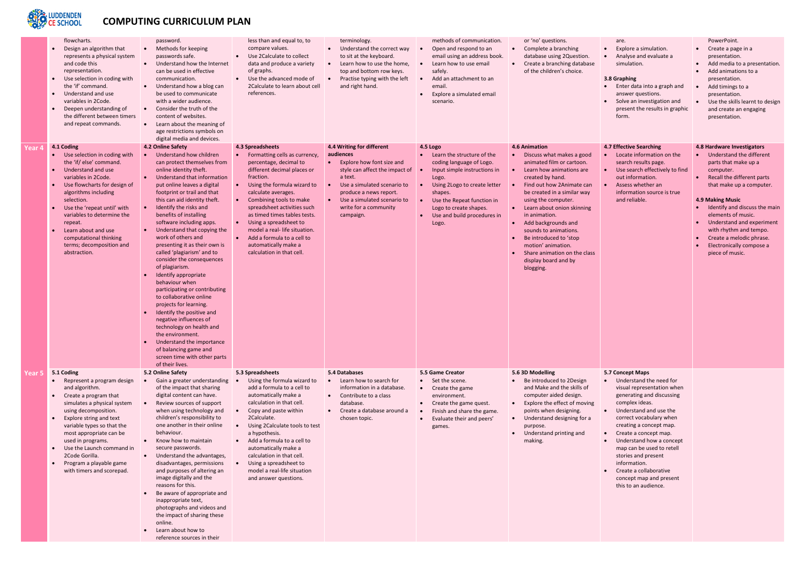

# **COMPUTING CURRICULUM PLAN**

|        | flowcharts.<br>Design an algorithm that<br>$\bullet$<br>represents a physical system<br>and code this<br>representation.<br>Use selection in coding with<br>$\bullet$<br>the 'if' command.<br>Understand and use<br>$\bullet$<br>variables in 2Code.<br>Deepen understanding of<br>$\bullet$<br>the different between timers<br>and repeat commands.                                                              | password.<br>Methods for keeping<br>$\bullet$<br>passwords safe.<br>Understand how the Internet<br>$\bullet$<br>can be used in effective<br>communication.<br>Understand how a blog can<br>$\bullet$<br>be used to communicate<br>with a wider audience.<br>Consider the truth of the<br>$\bullet$<br>content of websites.<br>Learn about the meaning of<br>$\bullet$<br>age restrictions symbols on<br>digital media and devices.                                                                                                                                                                                                                                                                                                                                                                                              | less than and equal to, to<br>compare values.<br>Use 2Calculate to collect<br>$\bullet$<br>data and produce a variety<br>of graphs.<br>Use the advanced mode of<br>$\bullet$<br>2 Calculate to learn about cell<br>references.                                                                                                                                                                                                                                                         | terminology.<br>Understand the correct way<br>$\bullet$<br>to sit at the keyboard.<br>Learn how to use the home,<br>$\bullet$<br>top and bottom row keys.<br>Practise typing with the left<br>and right hand.                                                            | methods of communication.<br>Open and respond to an<br>$\bullet$<br>email using an address book.<br>Learn how to use email<br>$\bullet$<br>safely.<br>Add an attachment to an<br>$\bullet$<br>email.<br>Explore a simulated email<br>scenario.                      | or 'no' questions.<br>Complete a branching<br>$\bullet$<br>database using 2Question.<br>Create a branching database<br>$\bullet$<br>of the children's choice.                                                                                                                                                                                                                                                                                                         |
|--------|-------------------------------------------------------------------------------------------------------------------------------------------------------------------------------------------------------------------------------------------------------------------------------------------------------------------------------------------------------------------------------------------------------------------|---------------------------------------------------------------------------------------------------------------------------------------------------------------------------------------------------------------------------------------------------------------------------------------------------------------------------------------------------------------------------------------------------------------------------------------------------------------------------------------------------------------------------------------------------------------------------------------------------------------------------------------------------------------------------------------------------------------------------------------------------------------------------------------------------------------------------------|----------------------------------------------------------------------------------------------------------------------------------------------------------------------------------------------------------------------------------------------------------------------------------------------------------------------------------------------------------------------------------------------------------------------------------------------------------------------------------------|--------------------------------------------------------------------------------------------------------------------------------------------------------------------------------------------------------------------------------------------------------------------------|---------------------------------------------------------------------------------------------------------------------------------------------------------------------------------------------------------------------------------------------------------------------|-----------------------------------------------------------------------------------------------------------------------------------------------------------------------------------------------------------------------------------------------------------------------------------------------------------------------------------------------------------------------------------------------------------------------------------------------------------------------|
| Year 4 | 4.1 Coding<br>Use selection in coding with<br>$\bullet$<br>the 'if/ else' command.<br>Understand and use<br>$\bullet$<br>variables in 2Code.<br>Use flowcharts for design of<br>$\bullet$<br>algorithms including<br>selection.<br>Use the 'repeat until' with<br>variables to determine the<br>repeat.<br>Learn about and use<br>$\bullet$<br>computational thinking<br>terms; decomposition and<br>abstraction. | 4.2 Online Safety<br>Understand how children<br>$\bullet$<br>can protect themselves from<br>online identity theft.<br>Understand that information<br>put online leaves a digital<br>footprint or trail and that<br>this can aid identity theft.<br>Identify the risks and<br>benefits of installing<br>software including apps.<br>Understand that copying the<br>work of others and<br>presenting it as their own is<br>called 'plagiarism' and to<br>consider the consequences<br>of plagiarism.<br>Identify appropriate<br>behaviour when<br>participating or contributing<br>to collaborative online<br>projects for learning.<br>Identify the positive and<br>negative influences of<br>technology on health and<br>the environment.<br>Understand the importance<br>of balancing game and<br>screen time with other parts | 4.3 Spreadsheets<br>Formatting cells as currency,<br>$\bullet$<br>percentage, decimal to<br>different decimal places or<br>fraction.<br>Using the formula wizard to<br>$\bullet$<br>calculate averages.<br>Combining tools to make<br>$\bullet$<br>spreadsheet activities such<br>as timed times tables tests.<br>Using a spreadsheet to<br>$\bullet$<br>model a real- life situation.<br>Add a formula to a cell to<br>$\bullet$<br>automatically make a<br>calculation in that cell. | 4.4 Writing for different<br>audiences<br>Explore how font size and<br>$\bullet$<br>style can affect the impact of<br>a text.<br>$\bullet$<br>Use a simulated scenario to<br>produce a news report.<br>Use a simulated scenario to<br>write for a community<br>campaign. | 4.5 Logo<br>Learn the structure of the<br>$\bullet$<br>coding language of Logo.<br>Input simple instructions in<br>Logo.<br>Using 2Logo to create letter<br>shapes.<br>Use the Repeat function in<br>Logo to create shapes.<br>Use and build procedures in<br>Logo. | 4.6 Animation<br>Discuss what makes a good<br>$\bullet$<br>animated film or cartoon.<br>Learn how animations are<br>$\bullet$<br>created by hand.<br>Find out how 2Animate can<br>$\bullet$<br>be created in a similar way<br>using the computer.<br>Learn about onion skinning<br>in animation.<br>Add backgrounds and<br>sounds to animations.<br>Be introduced to 'stop<br>motion' animation.<br>Share animation on the class<br>display board and by<br>blogging. |
| 'ear 5 | 5.1 Coding<br>Represent a program design<br>$\bullet$<br>and algorithm.<br>Create a program that<br>simulates a physical system<br>using decomposition.<br>Explore string and text<br>variable types so that the<br>most appropriate can be<br>used in programs.<br>Use the Launch command in<br>$\bullet$<br>2Code Gorilla.<br>Program a playable game<br>$\bullet$<br>with timers and scorepad.                 | of their lives.<br>5.2 Online Safety<br>Gain a greater understanding<br>$\bullet$<br>of the impact that sharing<br>digital content can have.<br>Review sources of support<br>when using technology and<br>children's responsibility to<br>one another in their online<br>behaviour.<br>Know how to maintain<br>$\bullet$<br>secure passwords.<br>Understand the advantages,<br>$\bullet$<br>disadvantages, permissions<br>and purposes of altering an<br>image digitally and the<br>reasons for this.<br>Be aware of appropriate and<br>inappropriate text,<br>photographs and videos and<br>the impact of sharing these<br>online.<br>Learn about how to<br>reference sources in their                                                                                                                                         | 5.3 Spreadsheets<br>Using the formula wizard to<br>add a formula to a cell to<br>automatically make a<br>calculation in that cell.<br>Copy and paste within<br>$\bullet$<br>2Calculate.<br>Using 2Calculate tools to test<br>$\bullet$<br>a hypothesis.<br>Add a formula to a cell to<br>automatically make a<br>calculation in that cell.<br>Using a spreadsheet to<br>$\bullet$<br>model a real-life situation<br>and answer questions.                                              | 5.4 Databases<br>Learn how to search for<br>$\bullet$<br>information in a database.<br>Contribute to a class<br>$\bullet$<br>database.<br>Create a database around a<br>$\bullet$<br>chosen topic.                                                                       | 5.5 Game Creator<br>Set the scene.<br>Create the game<br>$\bullet$<br>environment.<br>Create the game quest.<br>Finish and share the game.<br>Evaluate their and peers'<br>$\bullet$<br>games.                                                                      | 5.6 3D Modelling<br>Be introduced to 2Design<br>$\bullet$<br>and Make and the skills of<br>computer aided design.<br>Explore the effect of moving<br>$\bullet$<br>points when designing.<br>Understand designing for a<br>$\bullet$<br>purpose.<br>Understand printing and<br>$\bullet$<br>making.                                                                                                                                                                    |

| are.<br>Explore a simulation.<br>Analyse and evaluate a<br>simulation.<br>3.8 Graphing<br>Enter data into a graph and<br>answer questions.<br>Solve an investigation and<br>present the results in graphic<br>form.                                                                                                                                                                                                   | PowerPoint.<br>Create a page in a<br>presentation.<br>Add media to a presentation.<br>Add animations to a<br>presentation.<br>Add timings to a<br>presentation.<br>Use the skills learnt to design<br>and create an engaging<br>presentation.                                                                                                                                                 |
|-----------------------------------------------------------------------------------------------------------------------------------------------------------------------------------------------------------------------------------------------------------------------------------------------------------------------------------------------------------------------------------------------------------------------|-----------------------------------------------------------------------------------------------------------------------------------------------------------------------------------------------------------------------------------------------------------------------------------------------------------------------------------------------------------------------------------------------|
| <b>4.7 Effective Searching</b><br>Locate information on the<br>search results page.<br>Use search effectively to find<br>out information.<br>Assess whether an<br>information source is true<br>and reliable.                                                                                                                                                                                                         | 4.8 Hardware Investigators<br>Understand the different<br>parts that make up a<br>computer.<br>Recall the different parts<br>that make up a computer.<br><b>4.9 Making Music</b><br>Identify and discuss the main<br>elements of music.<br><b>Understand and experiment</b><br>with rhythm and tempo.<br>Create a melodic phrase.<br>Electronically compose a<br>$\bullet$<br>piece of music. |
| <b>5.7 Concept Maps</b><br>Understand the need for<br>visual representation when<br>generating and discussing<br>complex ideas.<br>Understand and use the<br>correct vocabulary when<br>creating a concept map.<br>Create a concept map.<br>Understand how a concept<br>map can be used to retell<br>stories and present<br>information.<br>Create a collaborative<br>concept map and present<br>this to an audience. |                                                                                                                                                                                                                                                                                                                                                                                               |